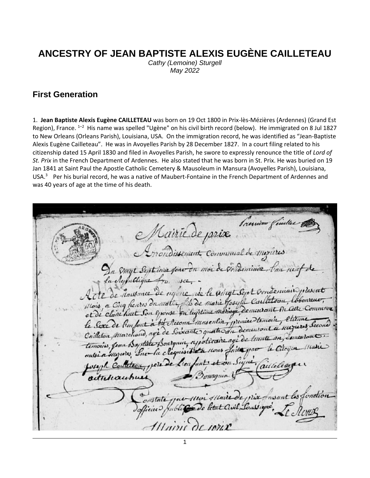# **ANCESTRY OF JEAN BAPTISTE ALEXIS EUGÈNE CAILLETEAU**

*Cathy (Lemoine) Sturgell May 2022*

#### **First Generation**

1. **Jean Baptiste Alexis Eugène CAILLETEAU** was born on 19 Oct 1800 in Prix-lès-Mézières (Ardennes) (Grand Est Region), France. <sup>[1](#page-7-0)-[2](#page-7-1)</sup> His name was spelled "Ugène" on his civil birth record (below). He immigrated on 8 Jul 1827 to New Orleans (Orleans Parish), Louisiana, USA. On the immigration record, he was identified as "Jean-Baptiste Alexis Eugène Cailleteau". He was in Avoyelles Parish by 28 December 1827. In a court filing related to his citizenship dated 15 April 1830 and filed in Avoyelles Parish, he swore to expressly renounce the title of *Lord of St. Prix* in the French Department of Ardennes. He also stated that he was born in St. Prix. He was buried on 19 Jan 1841 at Saint Paul the Apostle Catholic Cemetery & Mausoleum in Mansura (Avoyelles Parish), Louisiana, USA[.](#page-7-2)<sup>3</sup> Per his burial record, he was a native of Maubert-Fontaine in the French Department of Ardennes and was 40 years of age at the time of his death.

Premios fim Mairie de prix. Arrondissement. Communal de mezieres Emal Sentions fono du moi de voudeminire, fine neur Aufullique from use enderniais, deseat De nairie de Mausance nee to unital Sent & Mois a Cinq heures dremating its de marie Goseph C. term Colomne Bi Cette Commune hust Son Exercse on legitime mariage, dem et de claire le Sexe de l'enfant à trè Accoun maseulin, premier a merieres seco Coilleton Merchand, age de Soixante quatre du an Comentan apoticaire agé de temoirs, 8 Hous Latte pa la clequisitie ele de L'en activicautic Maire de prix fasant les fonction oristate Illuini de voix

1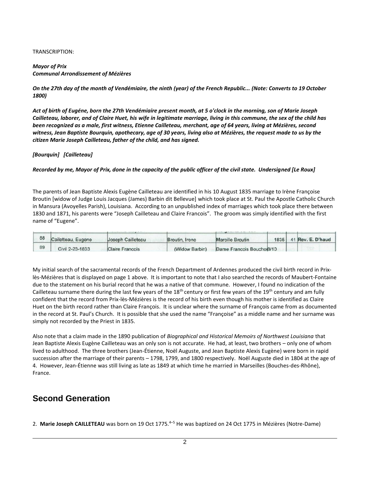#### TRANSCRIPTION:

#### *Mayor of Prix Communal Arrondissement of Mézières*

*On the 27th day of the month of Vendémiaire, the ninth (year) of the French Republic... (Note: Converts to 19 October 1800)*

*Act of birth of Eugéne, born the 27th Vendémiaire present month, at 5 o'clock in the morning, son of Marie Joseph Cailleteau, laborer, and of Claire Huet, his wife in legitimate marriage, living in this commune, the sex of the child has been recognized as a male, first witness, Etienne Cailleteau, merchant, age of 64 years, living at Mézières, second witness, Jean Baptiste Bourquin, apothecary, age of 30 years, living also at Mézières, the request made to us by the citizen Marie Joseph Cailleteau, father of the child, and has signed.*

#### *[Bourquin] [Cailleteau]*

#### *Recorded by me, Mayor of Prix, done in the capacity of the public officer of the civil state. Undersigned [Le Roux]*

The parents of Jean Baptiste Alexis Eugène Cailleteau are identified in his 10 August 1835 marriage to Irène Françoise Broutin [widow of Judge Louis Jacques (James) Barbin dit Bellevue] which took place at St. Paul the Apostle Catholic Church in Mansura (Avoyelles Parish), Louisiana. According to an unpublished index of marriages which took place there between 1830 and 1871, his parents were "Joseph Cailleteau and Claire Francois". The groom was simply identified with the first name of "Eugene".

| 88 | Cailetteau, Eugene | Joseph Cailleteau      | Broutin, Irene | <b>Marcille Broutin</b>   |  | 1835 41 Rev. E. D'haud |
|----|--------------------|------------------------|----------------|---------------------------|--|------------------------|
| 89 | Civil 2-23-1833    | <b>Claire Francois</b> | (Widow Barbin) | Dame Francois Bouchol8/10 |  |                        |

My initial search of the sacramental records of the French Department of Ardennes produced the civil birth record in Prixlès-Mézières that is displayed on page 1 above. It is important to note that I also searched the records of Maubert-Fontaine due to the statement on his burial record that he was a native of that commune. However, I found no indication of the Cailleteau surname there during the last few years of the  $18<sup>th</sup>$  century or first few years of the  $19<sup>th</sup>$  century and am fully confident that the record from Prix-lès-Mézières is the record of his birth even though his mother is identified as Claire Huet on the birth record rather than Claire François. It is unclear where the surname of François came from as documented in the record at St. Paul's Church. It is possible that she used the name "Françoise" as a middle name and her surname was simply not recorded by the Priest in 1835.

Also note that a claim made in the 1890 publication of *Biographical and Historical Memoirs of Northwest Louisiana* that Jean Baptiste Alexis Eugène Cailleteau was an only son is not accurate. He had, at least, two brothers – only one of whom lived to adulthood. The three brothers (Jean-Étienne, Noël Auguste, and Jean Baptiste Alexis Eugène) were born in rapid succession after the marriage of their parents – 1798, 1799, and 1800 respectively. Noël Auguste died in 1804 at the age of 4. However, Jean-Étienne was still living as late as 1849 at which time he married in Marseilles (Bouches-des-Rhône), France.

#### **Second Generation**

2. Marie Joseph CAILLETEAU was born on 19 Oct 1775.<sup>[4](#page-7-3)-[5](#page-7-4)</sup> He was baptized on 24 Oct 1775 in Mézières (Notre-Dame)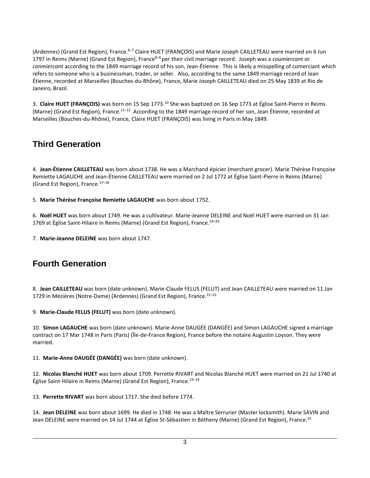(Ardennes) (Grand Est Region), France[.](#page-7-5)<sup>6–[7](#page-7-6)</sup> Claire HUET (FRANÇOIS) and Marie Joseph CAILLETEAU were married on 6 Jun 1797 in Reims (Marne) (Grand Est Region), Franc[e](#page-7-7)<sup>8</sup>–[9](#page-7-8) per their civil marriage record. Joseph was a *coumiercant* or *conmiercant* according to the 1849 marriage record of his son, Jean-Étienne. This is likely a misspelling of comerciant which refers to someone who is a businessman, trader, or seller. Also, according to the same 1849 marriage record of Jean Étienne, recorded at Marseilles (Bouches-du-Rhône), France, Marie Joseph CAILLETEAU died on 25 May 1839 at Rio de Janeiro, Brazil.

3. **Claire HUET (FRANÇOIS)** was born on 15 Sep 1773.[10](#page-7-9) She was baptized on 16 Sep 1773 at Église Saint-Pierre in Reims (Marne) (Grand Est Region), France.[11](#page-7-10)–[12](#page-7-11) According to the 1849 marriage record of her son, Jean Étienne, recorded at Marseilles (Bouches-du-Rhône), France, Claire HUET (FRANÇOIS) was living in Paris in May 1849.

## **Third Generation**

4. **Jean-Étienne CAILLETEAU** was born about 1738. He was a Marchand épicier (merchant grocer). Marie Thérèse Françoise Remiette LAGAUCHE and Jean-Étienne CAILLETEAU were married on 2 Jul 1772 at Église Saint-Pierre in Reims (Marne) (Grand Est Region), France.[17](#page-7-12)–[18](#page-7-13)

5. **Marie Thérèse Françoise Remiette LAGAUCHE** was born about 1752.

6. **Noël HUET** was born about 1749. He was a cultivateur. Marie-Jeanne DELEINE and Noël HUET were married on 31 Jan 1769 at Église Saint-Hilaire in Reims (Marne) (Grand Est Region), France.<sup>[19](#page-7-14)-[20](#page-7-15)</sup>

7. **Marie-Jeanne DELEINE** was born about 1747.

## **Fourth Generation**

8. **Jean CAILLETEAU** was born (date unknown). Marie-Claude FELUS (FELUT) and Jean CAILLETEAU were married on 11 Jan 1729 in Mézières (Notre-Dame) (Ardennes) (Grand Est Region), France.<sup>[21](#page-7-16)-[22](#page-7-17)</sup>

9. **Marie-Claude FELUS (FELUT)** was born (date unknown).

10. **Simon LAGAUCHE** was born (date unknown). Marie-Anne DAUGÉE (DANGÉE) and Simon LAGAUCHE signed a marriage contract on 17 Mar 1748 in Paris (Paris) (Île-de-France Region), France before the notaire Augustin Loyson. They were married.

11. **Marie-Anne DAUGÉE (DANGÉE)** was born (date unknown).

12. **Nicolas Blanché HUET** was born about 1709. Perrette RIVART and Nicolas Blanché HUET were married on 21 Jul 1740 at Église Saint-Hilaire in Reims (Marne) (Grand Est Region), France. $23-24$  $23-24$  $23-24$ 

13. **Perrette RIVART** was born about 1717. She died before 1774.

14. **Jean DELEINE** was born about 1699. He died in 1748. He was a Maître Serrurier (Master locksmith). Marie SAVIN and Jean DELEINE were married on 14 Jul 1744 at Église St-Sébastien in Bétheny (Marne) (Grand Est Region), France.<sup>[25](#page-7-20)</sup>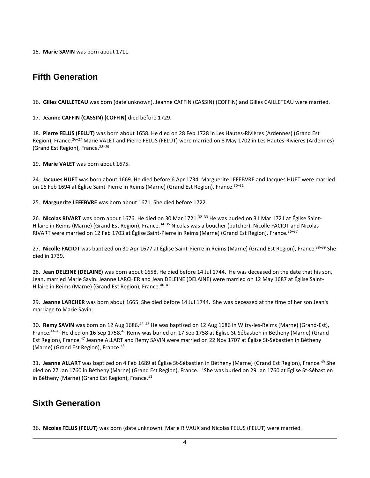15. **Marie SAVIN** was born about 1711.

## **Fifth Generation**

16. **Gilles CAILLETEAU** was born (date unknown). Jeanne CAFFIN (CASSIN) (COFFIN) and Gilles CAILLETEAU were married.

17. **Jeanne CAFFIN (CASSIN) (COFFIN)** died before 1729.

18. **Pierre FELUS (FELUT)** was born about 1658. He died on 28 Feb 1728 in Les Hautes-Rivières (Ardennes) (Grand Est Region), France.<sup>[26](#page-7-21)–[27](#page-8-0)</sup> Marie VALET and Pierre FELUS (FELUT) were married on 8 May 1702 in Les Hautes-Rivières (Ardennes) (Grand Est Region), France.[28](#page-8-1)–[29](#page-8-2)

19. **Marie VALET** was born about 1675.

24. **Jacques HUET** was born about 1669. He died before 6 Apr 1734. Marguerite LEFEBVRE and Jacques HUET were married on 16 Feb 1694 at Église Saint-Pierre in Reims (Marne) (Grand Est Region), France.<sup>[30](#page-8-3)-[31](#page-8-4)</sup>

25. **Marguerite LEFEBVRE** was born about 1671. She died before 1722.

26. Nicolas RIVART was born about 1676. He died on 30 Mar 1721.<sup>[32](#page-8-5)–[33](#page-8-6)</sup> He was buried on 31 Mar 1721 at Église Saint-Hilaire in Reims (Marne) (Grand Est Region), France.<sup>[34](#page-8-7)-[35](#page-8-8)</sup> Nicolas was a boucher (butcher). Nicolle FACIOT and Nicolas RIVART were married on 12 Feb 1703 at Église Saint-Pierre in Reims (Marne) (Grand Est Region), France.<sup>[36](#page-8-9)–[37](#page-8-10)</sup>

27. **Nicolle FACIOT** was baptized on 30 Apr 1677 at Église Saint-Pierre in Reims (Marne) (Grand Est Region), France.[38](#page-8-11)–[39](#page-8-12) She died in 1739.

28. **Jean DELEINE (DELAINE)** was born about 1658. He died before 14 Jul 1744. He was deceased on the date that his son, Jean, married Marie Savin. Jeanne LARCHER and Jean DELEINE (DELAINE) were married on 12 May 1687 at Église Saint-Hilaire in Reims (Marne) (Grand Est Region), France.<sup>[40](#page-8-13)-[41](#page-8-14)</sup>

29. **Jeanne LARCHER** was born about 1665. She died before 14 Jul 1744. She was deceased at the time of her son Jean's marriage to Marie Savin.

30. **Remy SAVIN** was born on 12 Aug 1686.[42](#page-8-15)–[43](#page-8-16) He was baptized on 12 Aug 1686 in Witry-les-Reims (Marne) (Grand-Est), France.[44](#page-8-17)–[45](#page-8-18) He died on 16 Sep 1758.[46](#page-8-19) Remy was buried on 17 Sep 1758 at Église St-Sébastien in Bétheny (Marne) (Grand Est Region), France.[47](#page-8-20) Jeanne ALLART and Remy SAVIN were married on 22 Nov 1707 at Église St-Sébastien in Bétheny (Marne) (Grand Est Region), France.<sup>[48](#page-8-21)</sup>

31. Jeanne ALLART was baptized on 4 Feb 1689 at Église St-Sébastien in Bétheny (Marne) (Grand Est Region), France.<sup>[49](#page-8-22)</sup> She died on 27 Jan 1760 in Bétheny (Marne) (Grand Est Region), France.<sup>[50](#page-9-0)</sup> She was buried on 29 Jan 1760 at Église St-Sébastien in Bétheny (Marne) (Grand Est Region), France.<sup>[51](#page-9-1)</sup>

## **Sixth Generation**

36. **Nicolas FELUS (FELUT)** was born (date unknown). Marie RIVAUX and Nicolas FELUS (FELUT) were married.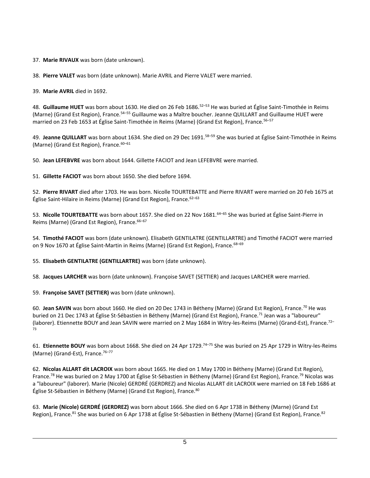37. **Marie RIVAUX** was born (date unknown).

38. **Pierre VALET** was born (date unknown). Marie AVRIL and Pierre VALET were married.

39. **Marie AVRIL** died in 1692.

48. **Guillaume HUET** was born about 1630. He died on 26 Feb 1686.[52](#page-9-2)–[53](#page-9-3) He was buried at Église Saint-Timothée in Reims (Marne) (Grand Est Region), France.<sup>[54](#page-9-4)–[55](#page-9-5)</sup> Guillaume was a Maître boucher. Jeanne QUILLART and Guillaume HUET were married on 23 Feb 1653 at Église Saint-Timothée in Reims (Marne) (Grand Est Region), France.<sup>[56](#page-9-6)–[57](#page-9-7)</sup>

49. **Jeanne QUILLART** was born about 1634. She died on 29 Dec 1691.[58](#page-9-8)–[59](#page-9-9) She was buried at Église Saint-Timothée in Reims (Marne) (Grand Est Region), France. $60-61$  $60-61$  $60-61$ 

50. **Jean LEFEBVRE** was born about 1644. Gillette FACIOT and Jean LEFEBVRE were married.

51. **Gillette FACIOT** was born about 1650. She died before 1694.

52. **Pierre RIVART** died after 1703. He was born. Nicolle TOURTEBATTE and Pierre RIVART were married on 20 Feb 1675 at Église Saint-Hilaire in Reims (Marne) (Grand Est Region), France. [62](#page-9-12)-[63](#page-9-13)

53. Nicolle TOURTEBATTE was born about 1657. She died on 22 Nov 1681.<sup>[64](#page-9-14)–[65](#page-9-15)</sup> She was buried at Église Saint-Pierre in Reims (Marne) (Grand Est Region), France. [66](#page-9-16)-[67](#page-9-17)

54. **Timothé FACIOT** was born (date unknown). Elisabeth GENTILATRE (GENTILLARTRE) and Timothé FACIOT were married on 9 Nov 1670 at Église Saint-Martin in Reims (Marne) (Grand Est Region), France.<sup>[68](#page-9-18)-[69](#page-9-19)</sup>

55. **Elisabeth GENTILATRE (GENTILLARTRE)** was born (date unknown).

58. **Jacques LARCHER** was born (date unknown). Françoise SAVET (SETTIER) and Jacques LARCHER were married.

59. **Françoise SAVET (SETTIER)** was born (date unknown).

60. **Jean SAVIN** was born about 1660. He died on 20 Dec 1743 in Bétheny (Marne) (Grand Est Region), France.[70](#page-9-20) He was buried on 21 Dec 1743 at Église St-Sébastien in Bétheny (Marne) (Grand Est Region), France.<sup>[71](#page-9-21)</sup> Jean was a "laboureur" (laborer). Etiennette BOUY and Jean SAVIN were married on 2 May 1684 in Witry-les-Reims (Marne) (Grand-Est), France.<sup>[72](#page-10-0)–</sup> [73](#page-10-1)

61. **Etiennette BOUY** was born about 1668. She died on 24 Apr 1729.[74](#page-10-2)–[75](#page-10-3) She was buried on 25 Apr 1729 in Witry-les-Reims (Marne) (Grand-Est), France.<sup>[76](#page-10-4)-[77](#page-10-5)</sup>

62. **Nicolas ALLART dit LACROIX** was born about 1665. He died on 1 May 1700 in Bétheny (Marne) (Grand Est Region), France.[78](#page-10-6) He was buried on 2 May 1700 at Église St-Sébastien in Bétheny (Marne) (Grand Est Region), France.[79](#page-10-7) Nicolas was a "laboureur" (laborer). Marie (Nicole) GERDRÉ (GERDREZ) and Nicolas ALLART dit LACROIX were married on 18 Feb 1686 at Église St-Sébastien in Bétheny (Marne) (Grand Est Region), France.<sup>[80](#page-10-8)</sup>

63. **Marie (Nicole) GERDRÉ (GERDREZ)** was born about 1666. She died on 6 Apr 1738 in Bétheny (Marne) (Grand Est Region), France.<sup>[81](#page-10-9)</sup> She was buried on 6 Apr 1738 at Église St-Sébastien in Bétheny (Marne) (Grand Est Region), France.<sup>[82](#page-10-10)</sup>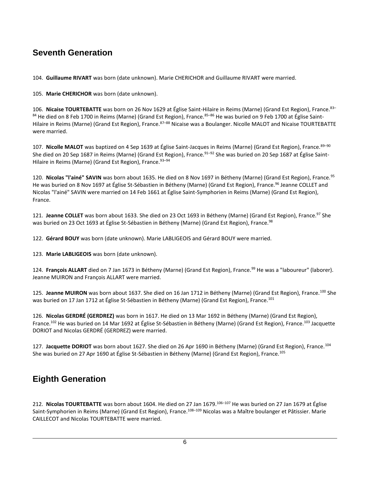## **Seventh Generation**

104. **Guillaume RIVART** was born (date unknown). Marie CHERICHOR and Guillaume RIVART were married.

105. **Marie CHERICHOR** was born (date unknown).

106. **Nicaise TOURTEBATTE** was born on 26 Nov 1629 at Église Saint-Hilaire in Reims (Marne) (Grand Est Region), France.[83](#page-10-11)– [84](#page-10-12) He died on 8 Feb 1700 in Reims (Marne) (Grand Est Region), France.<sup>[85](#page-10-13)–[86](#page-10-14)</sup> He was buried on 9 Feb 1700 at Église Saint-Hilaire in Reims (Marne) (Grand Est Region), France.<sup>[87](#page-10-15)–[88](#page-10-16)</sup> Nicaise was a Boulanger. Nicolle MALOT and Nicaise TOURTEBATTE were married.

107. **Nicolle MALOT** was baptized on 4 Sep 1639 at Église Saint-Jacques in Reims (Marne) (Grand Est Region), France.[89](#page-10-17)–[90](#page-10-18) She died on 20 Sep 1687 in Reims (Marne) (Grand Est Region), France.<sup>[91](#page-10-19)–[92](#page-10-20)</sup> She was buried on 20 Sep 1687 at Église Saint-Hilaire in Reims (Marne) (Grand Est Region), France. [93](#page-11-0)-[94](#page-11-1)

120. **Nicolas "l'ainé" SAVIN** was born about 1635. He died on 8 Nov 1697 in Bétheny (Marne) (Grand Est Region), France.[95](#page-11-2) He was buried on 8 Nov 1697 at Église St-Sébastien in Bétheny (Marne) (Grand Est Region), France.<sup>[96](#page-11-3)</sup> Jeanne COLLET and Nicolas "l'ainé" SAVIN were married on 14 Feb 1661 at Église Saint-Symphorien in Reims (Marne) (Grand Est Region), France.

121. Jeanne COLLET was born about 1633. She died on 23 Oct 1693 in Bétheny (Marne) (Grand Est Region), France.<sup>[97](#page-11-4)</sup> She was buried on 23 Oct 1693 at Église St-Sébastien in Bétheny (Marne) (Grand Est Region), France.<sup>[98](#page-11-5)</sup>

122. **Gérard BOUY** was born (date unknown). Marie LABLIGEOIS and Gérard BOUY were married.

123. **Marie LABLIGEOIS** was born (date unknown).

124. **François ALLART** died on 7 Jan 1673 in Bétheny (Marne) (Grand Est Region), France.<sup>[99](#page-11-6)</sup> He was a "laboureur" (laborer). Jeanne MUIRON and François ALLART were married.

125. Jeanne MUIRON was born about 1637. She died on 16 Jan 1712 in Bétheny (Marne) (Grand Est Region), France.<sup>[100](#page-11-7)</sup> She was buried on 17 Jan 1712 at Église St-Sébastien in Bétheny (Marne) (Grand Est Region), France.<sup>[101](#page-11-8)</sup>

126. **Nicolas GERDRÉ (GERDREZ)** was born in 1617. He died on 13 Mar 1692 in Bétheny (Marne) (Grand Est Region), France.<sup>[102](#page-11-9)</sup> He was buried on 14 Mar 1692 at Église St-Sébastien in Bétheny (Marne) (Grand Est Region), France.<sup>[103](#page-11-10)</sup> Jacquette DORIOT and Nicolas GERDRÉ (GERDREZ) were married.

127. **Jacquette DORIOT** was born about 1627. She died on 26 Apr 1690 in Bétheny (Marne) (Grand Est Region), France.[104](#page-12-0) She was buried on 27 Apr 1690 at Église St-Sébastien in Bétheny (Marne) (Grand Est Region), France.[105](#page-12-1)

## **Eighth Generation**

212. **Nicolas TOURTEBATTE** was born about 1604. He died on 27 Jan 1679.[106](#page-12-2)–[107](#page-12-3) He was buried on 27 Jan 1679 at Église Saint-Symphorien in Reims (Marne) (Grand Est Region), France.<sup>[108](#page-12-4)-[109](#page-12-5)</sup> Nicolas was a Maître boulanger et Pâtissier. Marie CAILLECOT and Nicolas TOURTEBATTE were married.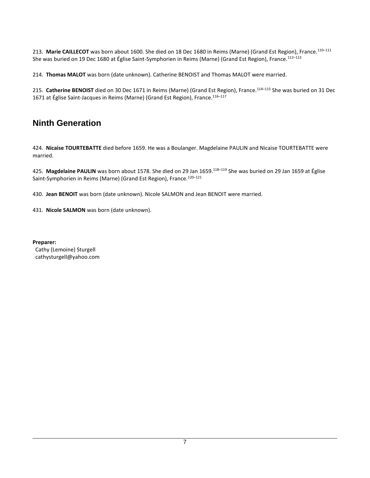213. **Marie CAILLECOT** was born about 1600. She died on 18 Dec 1680 in Reims (Marne) (Grand Est Region), France.[110](#page-12-6)–[111](#page-12-7) She was buried on 19 Dec 1680 at Église Saint-Symphorien in Reims (Marne) (Grand Est Region), France.<sup>[112](#page-12-8)-[113](#page-12-9)</sup>

214. **Thomas MALOT** was born (date unknown). Catherine BENOIST and Thomas MALOT were married.

215. **Catherine BENOIST** died on 30 Dec 1671 in Reims (Marne) (Grand Est Region), France.[114](#page-12-10)–[115](#page-12-11) She was buried on 31 Dec 1671 at Église Saint-Jacques in Reims (Marne) (Grand Est Region), France.<sup>[116](#page-12-12)-[117](#page-12-13)</sup>

### **Ninth Generation**

424. **Nicaise TOURTEBATTE** died before 1659. He was a Boulanger. Magdelaine PAULIN and Nicaise TOURTEBATTE were married.

425. Magdelaine PAULIN was born about 1578. She died on 29 Jan 1659.<sup>[118](#page-12-14)-[119](#page-12-15)</sup> She was buried on 29 Jan 1659 at Église Saint-Symphorien in Reims (Marne) (Grand Est Region), France.<sup>[120](#page-12-16)-[121](#page-12-17)</sup>

430. **Jean BENOIT** was born (date unknown). Nicole SALMON and Jean BENOIT were married.

431. **Nicole SALMON** was born (date unknown).

**Preparer:** Cathy (Lemoine) Sturgell cathysturgell@yahoo.com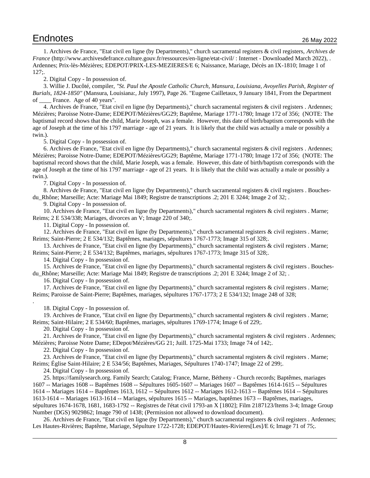<span id="page-7-0"></span>1. Archives de France, "Etat civil en ligne (by Departments)," church sacramental registers & civil registers, *Archives de France* (http://www.archivesdefrance.culture.gouv.fr/ressources/en-ligne/etat-civil/ : Internet - Downloaded March 2022), . Ardennes; Prix-lès-Mézières; EDEPOT/PRIX-LES-MEZIERES/E 6; Naissance, Mariage, Décès an IX-1810; Image 1 of 127;.

<span id="page-7-2"></span><span id="page-7-1"></span>2. Digital Copy - In possession of.

3. Willie J. Ducôté, compiler, *"St. Paul the Apostle Catholic Church, Mansura, Louisiana, Avoyelles Parish, Register of Burials, 1824-1850"* (Mansura, Louisiana:, July 1997), Page 26. "Eugene Cailletaux, 9 January 1841, From the Department France. Age of 40 years".

<span id="page-7-3"></span>4. Archives de France, "Etat civil en ligne (by Departments)," church sacramental registers & civil registers . Ardennes; Mézières; Paroisse Notre-Dame; EDEPOT/Mézières/GG29; Baptême, Mariage 1771-1780; Image 172 of 356; (NOTE: The baptismal record shows that the child, Marie Joseph, was a female. However, this date of birth/baptism corresponds with the age of Joseph at the time of his 1797 marriage - age of 21 years. It is likely that the child was actually a male or possibly a twin.).

<span id="page-7-5"></span><span id="page-7-4"></span>5. Digital Copy - In possession of.

6. Archives de France, "Etat civil en ligne (by Departments)," church sacramental registers & civil registers . Ardennes; Mézières; Paroisse Notre-Dame; EDEPOT/Mézières/GG29; Baptême, Mariage 1771-1780; Image 172 of 356; (NOTE: The baptismal record shows that the child, Marie Joseph, was a female. However, this date of birth/baptism corresponds with the age of Joseph at the time of his 1797 marriage - age of 21 years. It is likely that the child was actually a male or possibly a twin.).

<span id="page-7-7"></span><span id="page-7-6"></span>7. Digital Copy - In possession of.

8. Archives de France, "Etat civil en ligne (by Departments)," church sacramental registers & civil registers . Bouchesdu Rhône; Marseille; Acte: Mariage Mai 1849; Registre de transcriptions .2; 201 E 3244; Image 2 of 32; .

<span id="page-7-9"></span><span id="page-7-8"></span>9. Digital Copy - In possession of.

10. Archives de France, "Etat civil en ligne (by Departments)," church sacramental registers & civil registers . Marne; Reims; 2 E 534/338; Mariages, divorces an V; Image 220 of 340;.

<span id="page-7-11"></span><span id="page-7-10"></span>11. Digital Copy - In possession of.

12. Archives de France, "Etat civil en ligne (by Departments)," church sacramental registers & civil registers . Marne; Reims; Saint-Pierre; 2 E 534/132; Baptêmes, mariages, sépultures 1767-1773; Image 315 of 328;.

13. Archives de France, "Etat civil en ligne (by Departments)," church sacramental registers & civil registers . Marne; Reims; Saint-Pierre; 2 E 534/132; Baptêmes, mariages, sépultures 1767-1773; Image 315 of 328;.

14. Digital Copy - In possession of.

15. Archives de France, "Etat civil en ligne (by Departments)," church sacramental registers & civil registers . Bouchesdu\_Rhône; Marseille; Acte: Mariage Mai 1849; Registre de transcriptions .2; 201 E 3244; Image 2 of 32; .

<span id="page-7-12"></span>16. Digital Copy - In possession of.

17. Archives de France, "Etat civil en ligne (by Departments)," church sacramental registers & civil registers . Marne; Reims; Paroisse de Saint-Pierre; Baptêmes, mariages, sépultures 1767-1773; 2 E 534/132; Image 248 of 328;

<span id="page-7-14"></span><span id="page-7-13"></span>18. Digital Copy - In possession of.

.

19. Archives de France, "Etat civil en ligne (by Departments)," church sacramental registers & civil registers . Marne; Reims; Saint-Hilaire; 2 E 534/60; Baptêmes, mariages, sépultures 1769-1774; Image 6 of 229;.

<span id="page-7-16"></span><span id="page-7-15"></span>20. Digital Copy - In possession of.

21. Archives de France, "Etat civil en ligne (by Departments)," church sacramental registers & civil registers . Ardennes; Mézières; Paroisse Notre Dame; EDepot/Mézières/GG 21; Juill. 1725-Mai 1733; Image 74 of 142;.

<span id="page-7-18"></span><span id="page-7-17"></span>22. Digital Copy - In possession of.

23. Archives de France, "Etat civil en ligne (by Departments)," church sacramental registers & civil registers . Marne; Reims; Église Saint-Hilaire; 2 E 534/56; Baptêmes, Mariages, Sépultures 1740-1747; Image 22 of 299;.

<span id="page-7-20"></span><span id="page-7-19"></span>24. Digital Copy - In possession of.

25. https://familysearch.org. Family Search; Catalog; France, Marne, Bétheny - Church records; Baptêmes, mariages 1607 -- Mariages 1608 -- Baptêmes 1608 -- Sépultures 1605-1607 -- Mariages 1607 -- Baptêmes 1614-1615 -- Sépultures 1614 -- Mariages 1614 -- Baptêmes 1613, 1612 -- Sépultures 1612 -- Mariages 1612-1613 -- Baptêmes 1614 -- Sépultures 1613-1614 -- Mariages 1613-1614 -- Mariages, sépultures 1615 -- Mariages, baptêmes 1673 -- Baptêmes, mariages, sépultures 1674-1678, 1681, 1683-1792 -- Registres de l'état civil 1793-an X [1802]; Film 2187123/Items 3-4; Image Group Number (DGS) 9029862; Image 790 of 1438; (Permission not allowed to download document).

<span id="page-7-21"></span>26. Archives de France, "Etat civil en ligne (by Departments)," church sacramental registers & civil registers . Ardennes; Les Hautes-Rivières; Baptême, Mariage, Sépulture 1722-1728; EDEPOT/Hautes-Rivieres[Les]/E 6; Image 71 of 75;.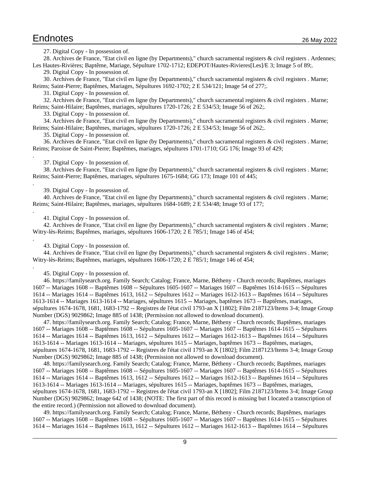.

.

.

.

.

<span id="page-8-1"></span><span id="page-8-0"></span>27. Digital Copy - In possession of.

28. Archives de France, "Etat civil en ligne (by Departments)," church sacramental registers & civil registers . Ardennes; Les Hautes-Rivières; Baptême, Mariage, Sépulture 1702-1712; EDEPOT/Hautes-Rivieres[Les]/E 3; Image 5 of 89;.

<span id="page-8-3"></span><span id="page-8-2"></span>29. Digital Copy - In possession of.

30. Archives de France, "Etat civil en ligne (by Departments)," church sacramental registers & civil registers . Marne; Reims; Saint-Pierre; Baptêmes, Mariages, Sépultures 1692-1702; 2 E 534/121; Image 54 of 277;.

<span id="page-8-5"></span><span id="page-8-4"></span>31. Digital Copy - In possession of.

32. Archives de France, "Etat civil en ligne (by Departments)," church sacramental registers & civil registers . Marne; Reims; Saint-Hilaire; Baptêmes, mariages, sépultures 1720-1726; 2 E 534/53; Image 56 of 262;.

<span id="page-8-7"></span><span id="page-8-6"></span>33. Digital Copy - In possession of.

34. Archives de France, "Etat civil en ligne (by Departments)," church sacramental registers & civil registers . Marne; Reims; Saint-Hilaire; Baptêmes, mariages, sépultures 1720-1726; 2 E 534/53; Image 56 of 262;.

<span id="page-8-9"></span><span id="page-8-8"></span>35. Digital Copy - In possession of.

36. Archives de France, "Etat civil en ligne (by Departments)," church sacramental registers & civil registers . Marne; Reims; Paroisse de Saint-Pierre; Baptêmes, mariages, sépultures 1701-1710; GG 176; Image 93 of 429;

<span id="page-8-11"></span><span id="page-8-10"></span>37. Digital Copy - In possession of.

38. Archives de France, "Etat civil en ligne (by Departments)," church sacramental registers & civil registers . Marne; Reims; Saint-Pierre; Baptêmes, mariages, sépultures 1675-1684; GG 173; Image 101 of 445;

<span id="page-8-13"></span><span id="page-8-12"></span>39. Digital Copy - In possession of.

40. Archives de France, "Etat civil en ligne (by Departments)," church sacramental registers & civil registers . Marne; Reims; Saint-Hilaire; Baptêmes, mariages, sépultures 1684-1689; 2 E 534/48; Image 93 of 177;

<span id="page-8-15"></span><span id="page-8-14"></span>41. Digital Copy - In possession of.

42. Archives de France, "Etat civil en ligne (by Departments)," church sacramental registers & civil registers . Marne; Witry-lès-Reims; Baptêmes, mariages, sépultures 1606-1720; 2 E 785/1; Image 146 of 454;

<span id="page-8-17"></span><span id="page-8-16"></span>43. Digital Copy - In possession of.

44. Archives de France, "Etat civil en ligne (by Departments)," church sacramental registers & civil registers . Marne; Witry-lès-Reims; Baptêmes, mariages, sépultures 1606-1720; 2 E 785/1; Image 146 of 454;

<span id="page-8-19"></span><span id="page-8-18"></span>45. Digital Copy - In possession of.

46. https://familysearch.org. Family Search; Catalog; France, Marne, Bétheny - Church records; Baptêmes, mariages 1607 -- Mariages 1608 -- Baptêmes 1608 -- Sépultures 1605-1607 -- Mariages 1607 -- Baptêmes 1614-1615 -- Sépultures 1614 -- Mariages 1614 -- Baptêmes 1613, 1612 -- Sépultures 1612 -- Mariages 1612-1613 -- Baptêmes 1614 -- Sépultures 1613-1614 -- Mariages 1613-1614 -- Mariages, sépultures 1615 -- Mariages, baptêmes 1673 -- Baptêmes, mariages, sépultures 1674-1678, 1681, 1683-1792 -- Registres de l'état civil 1793-an X [1802]; Film 2187123/Items 3-4; Image Group Number (DGS) 9029862; Image 885 of 1438; (Permission not allowed to download document).

<span id="page-8-20"></span>47. https://familysearch.org. Family Search; Catalog; France, Marne, Bétheny - Church records; Baptêmes, mariages 1607 -- Mariages 1608 -- Baptêmes 1608 -- Sépultures 1605-1607 -- Mariages 1607 -- Baptêmes 1614-1615 -- Sépultures 1614 -- Mariages 1614 -- Baptêmes 1613, 1612 -- Sépultures 1612 -- Mariages 1612-1613 -- Baptêmes 1614 -- Sépultures 1613-1614 -- Mariages 1613-1614 -- Mariages, sépultures 1615 -- Mariages, baptêmes 1673 -- Baptêmes, mariages, sépultures 1674-1678, 1681, 1683-1792 -- Registres de l'état civil 1793-an X [1802]; Film 2187123/Items 3-4; Image Group Number (DGS) 9029862; Image 885 of 1438; (Permission not allowed to download document).

<span id="page-8-21"></span>48. https://familysearch.org. Family Search; Catalog; France, Marne, Bétheny - Church records; Baptêmes, mariages 1607 -- Mariages 1608 -- Baptêmes 1608 -- Sépultures 1605-1607 -- Mariages 1607 -- Baptêmes 1614-1615 -- Sépultures 1614 -- Mariages 1614 -- Baptêmes 1613, 1612 -- Sépultures 1612 -- Mariages 1612-1613 -- Baptêmes 1614 -- Sépultures 1613-1614 -- Mariages 1613-1614 -- Mariages, sépultures 1615 -- Mariages, baptêmes 1673 -- Baptêmes, mariages, sépultures 1674-1678, 1681, 1683-1792 -- Registres de l'état civil 1793-an X [1802]; Film 2187123/Items 3-4; Image Group Number (DGS) 9029862; Image 642 of 1438; (NOTE: The first part of this record is missing but I located a transcription of the entire record.) (Permission not allowed to download document).

<span id="page-8-22"></span>49. https://familysearch.org. Family Search; Catalog; France, Marne, Bétheny - Church records; Baptêmes, mariages 1607 -- Mariages 1608 -- Baptêmes 1608 -- Sépultures 1605-1607 -- Mariages 1607 -- Baptêmes 1614-1615 -- Sépultures 1614 -- Mariages 1614 -- Baptêmes 1613, 1612 -- Sépultures 1612 -- Mariages 1612-1613 -- Baptêmes 1614 -- Sépultures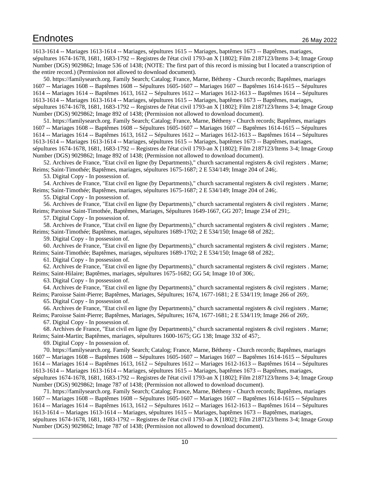1613-1614 -- Mariages 1613-1614 -- Mariages, sépultures 1615 -- Mariages, baptêmes 1673 -- Baptêmes, mariages, sépultures 1674-1678, 1681, 1683-1792 -- Registres de l'état civil 1793-an X [1802]; Film 2187123/Items 3-4; Image Group Number (DGS) 9029862; Image 536 of 1438; (NOTE: The first part of this record is missing but I located a transcription of the entire record.) (Permission not allowed to download document).

<span id="page-9-0"></span>50. https://familysearch.org. Family Search; Catalog; France, Marne, Bétheny - Church records; Baptêmes, mariages 1607 -- Mariages 1608 -- Baptêmes 1608 -- Sépultures 1605-1607 -- Mariages 1607 -- Baptêmes 1614-1615 -- Sépultures 1614 -- Mariages 1614 -- Baptêmes 1613, 1612 -- Sépultures 1612 -- Mariages 1612-1613 -- Baptêmes 1614 -- Sépultures 1613-1614 -- Mariages 1613-1614 -- Mariages, sépultures 1615 -- Mariages, baptêmes 1673 -- Baptêmes, mariages, sépultures 1674-1678, 1681, 1683-1792 -- Registres de l'état civil 1793-an X [1802]; Film 2187123/Items 3-4; Image Group Number (DGS) 9029862; Image 892 of 1438; (Permission not allowed to download document).

<span id="page-9-1"></span>51. https://familysearch.org. Family Search; Catalog; France, Marne, Bétheny - Church records; Baptêmes, mariages 1607 -- Mariages 1608 -- Baptêmes 1608 -- Sépultures 1605-1607 -- Mariages 1607 -- Baptêmes 1614-1615 -- Sépultures 1614 -- Mariages 1614 -- Baptêmes 1613, 1612 -- Sépultures 1612 -- Mariages 1612-1613 -- Baptêmes 1614 -- Sépultures 1613-1614 -- Mariages 1613-1614 -- Mariages, sépultures 1615 -- Mariages, baptêmes 1673 -- Baptêmes, mariages, sépultures 1674-1678, 1681, 1683-1792 -- Registres de l'état civil 1793-an X [1802]; Film 2187123/Items 3-4; Image Group Number (DGS) 9029862; Image 892 of 1438; (Permission not allowed to download document).

<span id="page-9-2"></span>52. Archives de France, "Etat civil en ligne (by Departments)," church sacramental registers & civil registers . Marne; Reims; Saint-Timothée; Baptêmes, mariages, sépultures 1675-1687; 2 E 534/149; Image 204 of 246;.

<span id="page-9-4"></span><span id="page-9-3"></span>53. Digital Copy - In possession of.

54. Archives de France, "Etat civil en ligne (by Departments)," church sacramental registers & civil registers . Marne; Reims; Saint-Timothée; Baptêmes, mariages, sépultures 1675-1687; 2 E 534/149; Image 204 of 246;.

<span id="page-9-6"></span><span id="page-9-5"></span>55. Digital Copy - In possession of.

56. Archives de France, "Etat civil en ligne (by Departments)," church sacramental registers & civil registers . Marne; Reims; Paroisse Saint-Timothée, Baptêmes, Mariages, Sépultures 1649-1667, GG 207; Image 234 of 291;.

<span id="page-9-8"></span><span id="page-9-7"></span>57. Digital Copy - In possession of.

58. Archives de France, "Etat civil en ligne (by Departments)," church sacramental registers & civil registers . Marne; Reims; Saint-Timothée; Baptêmes, mariages, sépultures 1689-1702; 2 E 534/150; Image 68 of 282;.

<span id="page-9-10"></span><span id="page-9-9"></span>59. Digital Copy - In possession of.

60. Archives de France, "Etat civil en ligne (by Departments)," church sacramental registers & civil registers . Marne; Reims; Saint-Timothée; Baptêmes, mariages, sépultures 1689-1702; 2 E 534/150; Image 68 of 282;.

<span id="page-9-12"></span><span id="page-9-11"></span>61. Digital Copy - In possession of.

62. Archives de France, "Etat civil en ligne (by Departments)," church sacramental registers & civil registers . Marne; Reims; Saint-Hilaire; Baptêmes, mariages, sépultures 1675-1682; GG 54; Image 10 of 306;.

<span id="page-9-14"></span><span id="page-9-13"></span>63. Digital Copy - In possession of.

64. Archives de France, "Etat civil en ligne (by Departments)," church sacramental registers & civil registers . Marne; Reims; Paroisse Saint-Pierre; Baptêmes, Mariages, Sépultures; 1674, 1677-1681; 2 E 534/119; Image 266 of 269;.

<span id="page-9-16"></span><span id="page-9-15"></span>65. Digital Copy - In possession of.

66. Archives de France, "Etat civil en ligne (by Departments)," church sacramental registers & civil registers . Marne; Reims; Paroisse Saint-Pierre; Baptêmes, Mariages, Sépultures; 1674, 1677-1681; 2 E 534/119; Image 266 of 269;.

<span id="page-9-18"></span><span id="page-9-17"></span>67. Digital Copy - In possession of.

68. Archives de France, "Etat civil en ligne (by Departments)," church sacramental registers & civil registers . Marne; Reims; Saint-Martin; Baptêmes, mariages, sépultures 1600-1675; GG 138; Image 332 of 457;.

<span id="page-9-20"></span><span id="page-9-19"></span>69. Digital Copy - In possession of.

70. https://familysearch.org. Family Search; Catalog; France, Marne, Bétheny - Church records; Baptêmes, mariages 1607 -- Mariages 1608 -- Baptêmes 1608 -- Sépultures 1605-1607 -- Mariages 1607 -- Baptêmes 1614-1615 -- Sépultures 1614 -- Mariages 1614 -- Baptêmes 1613, 1612 -- Sépultures 1612 -- Mariages 1612-1613 -- Baptêmes 1614 -- Sépultures 1613-1614 -- Mariages 1613-1614 -- Mariages, sépultures 1615 -- Mariages, baptêmes 1673 -- Baptêmes, mariages, sépultures 1674-1678, 1681, 1683-1792 -- Registres de l'état civil 1793-an X [1802]; Film 2187123/Items 3-4; Image Group Number (DGS) 9029862; Image 787 of 1438; (Permission not allowed to download document).

<span id="page-9-21"></span>71. https://familysearch.org. Family Search; Catalog; France, Marne, Bétheny - Church records; Baptêmes, mariages 1607 -- Mariages 1608 -- Baptêmes 1608 -- Sépultures 1605-1607 -- Mariages 1607 -- Baptêmes 1614-1615 -- Sépultures 1614 -- Mariages 1614 -- Baptêmes 1613, 1612 -- Sépultures 1612 -- Mariages 1612-1613 -- Baptêmes 1614 -- Sépultures 1613-1614 -- Mariages 1613-1614 -- Mariages, sépultures 1615 -- Mariages, baptêmes 1673 -- Baptêmes, mariages, sépultures 1674-1678, 1681, 1683-1792 -- Registres de l'état civil 1793-an X [1802]; Film 2187123/Items 3-4; Image Group Number (DGS) 9029862; Image 787 of 1438; (Permission not allowed to download document).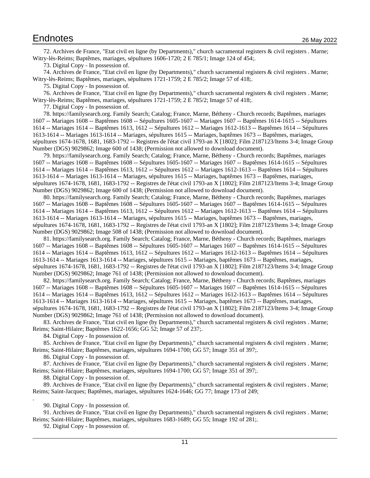<span id="page-10-0"></span>72. Archives de France, "Etat civil en ligne (by Departments)," church sacramental registers & civil registers . Marne; Witry-lès-Reims; Baptêmes, mariages, sépultures 1606-1720; 2 E 785/1; Image 124 of 454;.

<span id="page-10-2"></span><span id="page-10-1"></span>73. Digital Copy - In possession of.

74. Archives de France, "Etat civil en ligne (by Departments)," church sacramental registers & civil registers . Marne; Witry-lès-Reims; Baptêmes, mariages, sépultures 1721-1759; 2 E 785/2; Image 57 of 418;.

<span id="page-10-4"></span><span id="page-10-3"></span>75. Digital Copy - In possession of.

76. Archives de France, "Etat civil en ligne (by Departments)," church sacramental registers & civil registers . Marne; Witry-lès-Reims; Baptêmes, mariages, sépultures 1721-1759; 2 E 785/2; Image 57 of 418;.

<span id="page-10-6"></span><span id="page-10-5"></span>77. Digital Copy - In possession of.

78. https://familysearch.org. Family Search; Catalog; France, Marne, Bétheny - Church records; Baptêmes, mariages 1607 -- Mariages 1608 -- Baptêmes 1608 -- Sépultures 1605-1607 -- Mariages 1607 -- Baptêmes 1614-1615 -- Sépultures 1614 -- Mariages 1614 -- Baptêmes 1613, 1612 -- Sépultures 1612 -- Mariages 1612-1613 -- Baptêmes 1614 -- Sépultures 1613-1614 -- Mariages 1613-1614 -- Mariages, sépultures 1615 -- Mariages, baptêmes 1673 -- Baptêmes, mariages, sépultures 1674-1678, 1681, 1683-1792 -- Registres de l'état civil 1793-an X [1802]; Film 2187123/Items 3-4; Image Group Number (DGS) 9029862; Image 600 of 1438; (Permission not allowed to download document).

<span id="page-10-7"></span>79. https://familysearch.org. Family Search; Catalog; France, Marne, Bétheny - Church records; Baptêmes, mariages 1607 -- Mariages 1608 -- Baptêmes 1608 -- Sépultures 1605-1607 -- Mariages 1607 -- Baptêmes 1614-1615 -- Sépultures 1614 -- Mariages 1614 -- Baptêmes 1613, 1612 -- Sépultures 1612 -- Mariages 1612-1613 -- Baptêmes 1614 -- Sépultures 1613-1614 -- Mariages 1613-1614 -- Mariages, sépultures 1615 -- Mariages, baptêmes 1673 -- Baptêmes, mariages, sépultures 1674-1678, 1681, 1683-1792 -- Registres de l'état civil 1793-an X [1802]; Film 2187123/Items 3-4; Image Group Number (DGS) 9029862; Image 600 of 1438; (Permission not allowed to download document).

<span id="page-10-8"></span>80. https://familysearch.org. Family Search; Catalog; France, Marne, Bétheny - Church records; Baptêmes, mariages 1607 -- Mariages 1608 -- Baptêmes 1608 -- Sépultures 1605-1607 -- Mariages 1607 -- Baptêmes 1614-1615 -- Sépultures 1614 -- Mariages 1614 -- Baptêmes 1613, 1612 -- Sépultures 1612 -- Mariages 1612-1613 -- Baptêmes 1614 -- Sépultures 1613-1614 -- Mariages 1613-1614 -- Mariages, sépultures 1615 -- Mariages, baptêmes 1673 -- Baptêmes, mariages, sépultures 1674-1678, 1681, 1683-1792 -- Registres de l'état civil 1793-an X [1802]; Film 2187123/Items 3-4; Image Group Number (DGS) 9029862; Image 508 of 1438; (Permission not allowed to download document).

<span id="page-10-9"></span>81. https://familysearch.org. Family Search; Catalog; France, Marne, Bétheny - Church records; Baptêmes, mariages 1607 -- Mariages 1608 -- Baptêmes 1608 -- Sépultures 1605-1607 -- Mariages 1607 -- Baptêmes 1614-1615 -- Sépultures 1614 -- Mariages 1614 -- Baptêmes 1613, 1612 -- Sépultures 1612 -- Mariages 1612-1613 -- Baptêmes 1614 -- Sépultures 1613-1614 -- Mariages 1613-1614 -- Mariages, sépultures 1615 -- Mariages, baptêmes 1673 -- Baptêmes, mariages, sépultures 1674-1678, 1681, 1683-1792 -- Registres de l'état civil 1793-an X [1802]; Film 2187123/Items 3-4; Image Group Number (DGS) 9029862; Image 761 of 1438; (Permission not allowed to download document).

<span id="page-10-10"></span>82. https://familysearch.org. Family Search; Catalog; France, Marne, Bétheny - Church records; Baptêmes, mariages 1607 -- Mariages 1608 -- Baptêmes 1608 -- Sépultures 1605-1607 -- Mariages 1607 -- Baptêmes 1614-1615 -- Sépultures 1614 -- Mariages 1614 -- Baptêmes 1613, 1612 -- Sépultures 1612 -- Mariages 1612-1613 -- Baptêmes 1614 -- Sépultures 1613-1614 -- Mariages 1613-1614 -- Mariages, sépultures 1615 -- Mariages, baptêmes 1673 -- Baptêmes, mariages, sépultures 1674-1678, 1681, 1683-1792 -- Registres de l'état civil 1793-an X [1802]; Film 2187123/Items 3-4; Image Group Number (DGS) 9029862; Image 761 of 1438; (Permission not allowed to download document).

<span id="page-10-11"></span>83. Archives de France, "Etat civil en ligne (by Departments)," church sacramental registers & civil registers . Marne; Reims; Saint-Hilaire; Baptêmes 1622-1656; GG 52; Image 57 of 237;.

<span id="page-10-13"></span><span id="page-10-12"></span>84. Digital Copy - In possession of.

85. Archives de France, "Etat civil en ligne (by Departments)," church sacramental registers & civil registers . Marne; Reims; Saint-Hilaire; Baptêmes, mariages, sépultures 1694-1700; GG 57; Image 351 of 397;.

<span id="page-10-15"></span><span id="page-10-14"></span>86. Digital Copy - In possession of.

87. Archives de France, "Etat civil en ligne (by Departments)," church sacramental registers & civil registers . Marne; Reims; Saint-Hilaire; Baptêmes, mariages, sépultures 1694-1700; GG 57; Image 351 of 397;.

<span id="page-10-17"></span><span id="page-10-16"></span>88. Digital Copy - In possession of.

89. Archives de France, "Etat civil en ligne (by Departments)," church sacramental registers & civil registers . Marne; Reims; Saint-Jacques; Baptêmes, mariages, sépultures 1624-1646; GG 77; Image 173 of 249;

<span id="page-10-19"></span><span id="page-10-18"></span>90. Digital Copy - In possession of.

.

91. Archives de France, "Etat civil en ligne (by Departments)," church sacramental registers & civil registers . Marne; Reims; Saint-Hilaire; Baptêmes, mariages, sépultures 1683-1689; GG 55; Image 192 of 281;.

<span id="page-10-20"></span>92. Digital Copy - In possession of.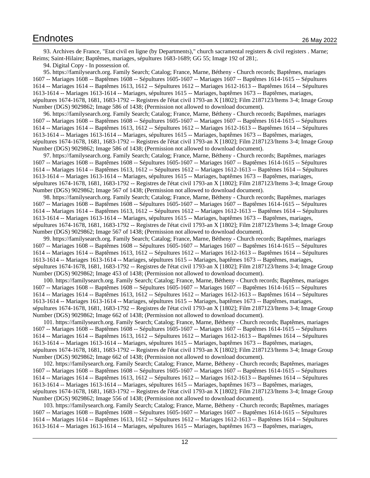<span id="page-11-0"></span>93. Archives de France, "Etat civil en ligne (by Departments)," church sacramental registers & civil registers . Marne; Reims; Saint-Hilaire; Baptêmes, mariages, sépultures 1683-1689; GG 55; Image 192 of 281;.

<span id="page-11-2"></span><span id="page-11-1"></span>94. Digital Copy - In possession of.

95. https://familysearch.org. Family Search; Catalog; France, Marne, Bétheny - Church records; Baptêmes, mariages 1607 -- Mariages 1608 -- Baptêmes 1608 -- Sépultures 1605-1607 -- Mariages 1607 -- Baptêmes 1614-1615 -- Sépultures 1614 -- Mariages 1614 -- Baptêmes 1613, 1612 -- Sépultures 1612 -- Mariages 1612-1613 -- Baptêmes 1614 -- Sépultures 1613-1614 -- Mariages 1613-1614 -- Mariages, sépultures 1615 -- Mariages, baptêmes 1673 -- Baptêmes, mariages, sépultures 1674-1678, 1681, 1683-1792 -- Registres de l'état civil 1793-an X [1802]; Film 2187123/Items 3-4; Image Group Number (DGS) 9029862; Image 586 of 1438; (Permission not allowed to download document).

<span id="page-11-3"></span>96. https://familysearch.org. Family Search; Catalog; France, Marne, Bétheny - Church records; Baptêmes, mariages 1607 -- Mariages 1608 -- Baptêmes 1608 -- Sépultures 1605-1607 -- Mariages 1607 -- Baptêmes 1614-1615 -- Sépultures 1614 -- Mariages 1614 -- Baptêmes 1613, 1612 -- Sépultures 1612 -- Mariages 1612-1613 -- Baptêmes 1614 -- Sépultures 1613-1614 -- Mariages 1613-1614 -- Mariages, sépultures 1615 -- Mariages, baptêmes 1673 -- Baptêmes, mariages, sépultures 1674-1678, 1681, 1683-1792 -- Registres de l'état civil 1793-an X [1802]; Film 2187123/Items 3-4; Image Group Number (DGS) 9029862; Image 586 of 1438; (Permission not allowed to download document).

<span id="page-11-4"></span>97. https://familysearch.org. Family Search; Catalog; France, Marne, Bétheny - Church records; Baptêmes, mariages 1607 -- Mariages 1608 -- Baptêmes 1608 -- Sépultures 1605-1607 -- Mariages 1607 -- Baptêmes 1614-1615 -- Sépultures 1614 -- Mariages 1614 -- Baptêmes 1613, 1612 -- Sépultures 1612 -- Mariages 1612-1613 -- Baptêmes 1614 -- Sépultures 1613-1614 -- Mariages 1613-1614 -- Mariages, sépultures 1615 -- Mariages, baptêmes 1673 -- Baptêmes, mariages, sépultures 1674-1678, 1681, 1683-1792 -- Registres de l'état civil 1793-an X [1802]; Film 2187123/Items 3-4; Image Group Number (DGS) 9029862; Image 567 of 1438; (Permission not allowed to download document).

<span id="page-11-5"></span>98. https://familysearch.org. Family Search; Catalog; France, Marne, Bétheny - Church records; Baptêmes, mariages 1607 -- Mariages 1608 -- Baptêmes 1608 -- Sépultures 1605-1607 -- Mariages 1607 -- Baptêmes 1614-1615 -- Sépultures 1614 -- Mariages 1614 -- Baptêmes 1613, 1612 -- Sépultures 1612 -- Mariages 1612-1613 -- Baptêmes 1614 -- Sépultures 1613-1614 -- Mariages 1613-1614 -- Mariages, sépultures 1615 -- Mariages, baptêmes 1673 -- Baptêmes, mariages, sépultures 1674-1678, 1681, 1683-1792 -- Registres de l'état civil 1793-an X [1802]; Film 2187123/Items 3-4; Image Group Number (DGS) 9029862; Image 567 of 1438; (Permission not allowed to download document).

<span id="page-11-6"></span>99. https://familysearch.org. Family Search; Catalog; France, Marne, Bétheny - Church records; Baptêmes, mariages 1607 -- Mariages 1608 -- Baptêmes 1608 -- Sépultures 1605-1607 -- Mariages 1607 -- Baptêmes 1614-1615 -- Sépultures 1614 -- Mariages 1614 -- Baptêmes 1613, 1612 -- Sépultures 1612 -- Mariages 1612-1613 -- Baptêmes 1614 -- Sépultures 1613-1614 -- Mariages 1613-1614 -- Mariages, sépultures 1615 -- Mariages, baptêmes 1673 -- Baptêmes, mariages, sépultures 1674-1678, 1681, 1683-1792 -- Registres de l'état civil 1793-an X [1802]; Film 2187123/Items 3-4; Image Group Number (DGS) 9029862; Image 453 of 1438; (Permission not allowed to download document).

<span id="page-11-7"></span>100. https://familysearch.org. Family Search; Catalog; France, Marne, Bétheny - Church records; Baptêmes, mariages 1607 -- Mariages 1608 -- Baptêmes 1608 -- Sépultures 1605-1607 -- Mariages 1607 -- Baptêmes 1614-1615 -- Sépultures 1614 -- Mariages 1614 -- Baptêmes 1613, 1612 -- Sépultures 1612 -- Mariages 1612-1613 -- Baptêmes 1614 -- Sépultures 1613-1614 -- Mariages 1613-1614 -- Mariages, sépultures 1615 -- Mariages, baptêmes 1673 -- Baptêmes, mariages, sépultures 1674-1678, 1681, 1683-1792 -- Registres de l'état civil 1793-an X [1802]; Film 2187123/Items 3-4; Image Group Number (DGS) 9029862; Image 662 of 1438; (Permission not allowed to download document).

<span id="page-11-8"></span>101. https://familysearch.org. Family Search; Catalog; France, Marne, Bétheny - Church records; Baptêmes, mariages 1607 -- Mariages 1608 -- Baptêmes 1608 -- Sépultures 1605-1607 -- Mariages 1607 -- Baptêmes 1614-1615 -- Sépultures 1614 -- Mariages 1614 -- Baptêmes 1613, 1612 -- Sépultures 1612 -- Mariages 1612-1613 -- Baptêmes 1614 -- Sépultures 1613-1614 -- Mariages 1613-1614 -- Mariages, sépultures 1615 -- Mariages, baptêmes 1673 -- Baptêmes, mariages, sépultures 1674-1678, 1681, 1683-1792 -- Registres de l'état civil 1793-an X [1802]; Film 2187123/Items 3-4; Image Group Number (DGS) 9029862; Image 662 of 1438; (Permission not allowed to download document).

<span id="page-11-9"></span>102. https://familysearch.org. Family Search; Catalog; France, Marne, Bétheny - Church records; Baptêmes, mariages 1607 -- Mariages 1608 -- Baptêmes 1608 -- Sépultures 1605-1607 -- Mariages 1607 -- Baptêmes 1614-1615 -- Sépultures 1614 -- Mariages 1614 -- Baptêmes 1613, 1612 -- Sépultures 1612 -- Mariages 1612-1613 -- Baptêmes 1614 -- Sépultures 1613-1614 -- Mariages 1613-1614 -- Mariages, sépultures 1615 -- Mariages, baptêmes 1673 -- Baptêmes, mariages, sépultures 1674-1678, 1681, 1683-1792 -- Registres de l'état civil 1793-an X [1802]; Film 2187123/Items 3-4; Image Group Number (DGS) 9029862; Image 556 of 1438; (Permission not allowed to download document).

<span id="page-11-10"></span>103. https://familysearch.org. Family Search; Catalog; France, Marne, Bétheny - Church records; Baptêmes, mariages 1607 -- Mariages 1608 -- Baptêmes 1608 -- Sépultures 1605-1607 -- Mariages 1607 -- Baptêmes 1614-1615 -- Sépultures 1614 -- Mariages 1614 -- Baptêmes 1613, 1612 -- Sépultures 1612 -- Mariages 1612-1613 -- Baptêmes 1614 -- Sépultures 1613-1614 -- Mariages 1613-1614 -- Mariages, sépultures 1615 -- Mariages, baptêmes 1673 -- Baptêmes, mariages,